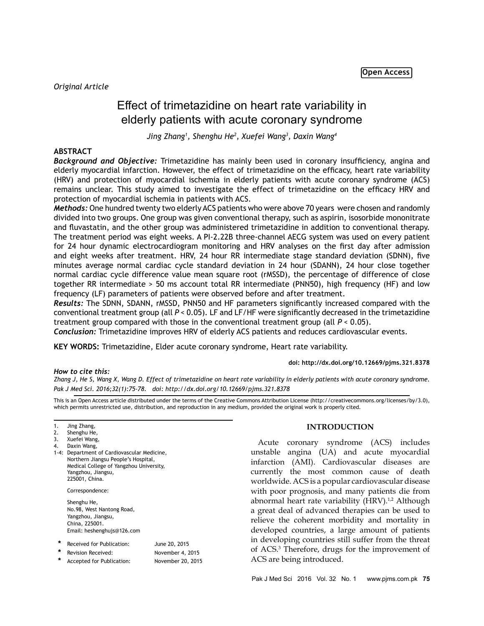# Effect of trimetazidine on heart rate variability in elderly patients with acute coronary syndrome

*Jing Zhang1 , Shenghu He2 , Xuefei Wang3 , Daxin Wang4*

## **ABSTRACT**

*Background and Objective:* Trimetazidine has mainly been used in coronary insufficiency, angina and elderly myocardial infarction. However, the effect of trimetazidine on the efficacy, heart rate variability (HRV) and protection of myocardial ischemia in elderly patients with acute coronary syndrome (ACS) remains unclear. This study aimed to investigate the effect of trimetazidine on the efficacy HRV and protection of myocardial ischemia in patients with ACS.

*Methods:* One hundred twenty two elderly ACS patients who were above 70 years were chosen and randomly divided into two groups. One group was given conventional therapy, such as aspirin, isosorbide mononitrate and fluvastatin, and the other group was administered trimetazidine in addition to conventional therapy. The treatment period was eight weeks. A PI-2.22B three-channel AECG system was used on every patient for 24 hour dynamic electrocardiogram monitoring and HRV analyses on the first day after admission and eight weeks after treatment. HRV, 24 hour RR intermediate stage standard deviation (SDNN), five minutes average normal cardiac cycle standard deviation in 24 hour (SDANN), 24 hour close together normal cardiac cycle difference value mean square root (rMSSD), the percentage of difference of close together RR intermediate > 50 ms account total RR intermediate (PNN50), high frequency (HF) and low frequency (LF) parameters of patients were observed before and after treatment.

*Results:* The SDNN, SDANN, rMSSD, PNN50 and HF parameters significantly increased compared with the conventional treatment group (all *P* < 0.05). LF and LF/HF were significantly decreased in the trimetazidine treatment group compared with those in the conventional treatment group (all *P* < 0.05).

*Conclusion:* Trimetazidine improves HRV of elderly ACS patients and reduces cardiovascular events.

**KEY WORDS:** Trimetazidine, Elder acute coronary syndrome, Heart rate variability.

**doi: http://dx.doi.org/10.12669/pjms.321.8378**

*How to cite this:*

*Zhang J, He S, Wang X, Wang D. Effect of trimetazidine on heart rate variability in elderly patients with acute coronary syndrome. Pak J Med Sci. 2016;32(1):75-78. doi: http://dx.doi.org/10.12669/pjms.321.8378*

This is an Open Access article distributed under the terms of the Creative Commons Attribution License (http://creativecommons.org/licenses/by/3.0), which permits unrestricted use, distribution, and reproduction in any medium, provided the original work is properly cited.

1. Jing Zhang,

Daxin Wang, 1-4: Department of Cardiovascular Medicine, Northern Jiangsu People's Hospital, Medical College of Yangzhou University, Yangzhou, Jiangsu, 225001, China.

Correspondence:

Shenghu He, No.98, West Nantong Road, Yangzhou, Jiangsu, China, 225001. Email: heshenghujs@126.com

| Received for Publication: | June 20, 2015    |
|---------------------------|------------------|
| Revision Received:        | November 4, 2015 |
|                           |                  |

 **\*** Accepted for Publication: November 20, 2015

### **INTRODUCTION**

Acute coronary syndrome (ACS) includes unstable angina (UA) and acute myocardial infarction (AMI). Cardiovascular diseases are currently the most common cause of death worldwide. ACS is a popular cardiovascular disease with poor prognosis, and many patients die from abnormal heart rate variability (HRV).<sup>1,2</sup> Although a great deal of advanced therapies can be used to relieve the coherent morbidity and mortality in developed countries, a large amount of patients in developing countries still suffer from the threat of ACS.3 Therefore, drugs for the improvement of ACS are being introduced.

<sup>2.</sup> Shenghu He,

<sup>3.</sup> Xuefei Wang,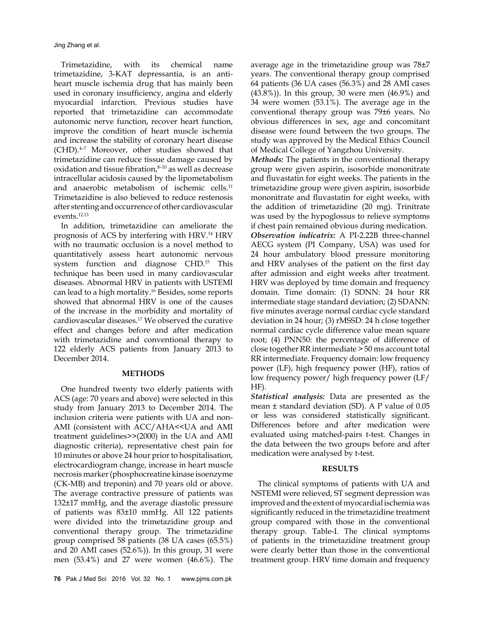Jing Zhang et al.

Trimetazidine, with its chemical name trimetazidine, 3-KAT depressantia, is an antiheart muscle ischemia drug that has mainly been used in coronary insufficiency, angina and elderly myocardial infarction. Previous studies have reported that trimetazidine can accommodate autonomic nerve function, recover heart function, improve the condition of heart muscle ischemia and increase the stability of coronary heart disease (CHD).4–7 Moreover, other studies showed that trimetazidine can reduce tissue damage caused by oxidation and tissue fibration,<sup>8-10</sup> as well as decrease intracellular acidosis caused by the lipometabolism and anaerobic metabolism of ischemic cells.<sup>11</sup> Trimetazidine is also believed to reduce restenosis after stenting and occurrence of other cardiovascular events.12,13

In addition, trimetazidine can ameliorate the prognosis of ACS by interfering with HRV.14 HRV with no traumatic occlusion is a novel method to quantitatively assess heart autonomic nervous system function and diagnose CHD.15 This technique has been used in many cardiovascular diseases. Abnormal HRV in patients with USTEMI can lead to a high mortality.16 Besides, some reports showed that abnormal HRV is one of the causes of the increase in the morbidity and mortality of cardiovascular diseases.17 We observed the curative effect and changes before and after medication with trimetazidine and conventional therapy to 122 elderly ACS patients from January 2013 to December 2014.

### **METHODS**

One hundred twenty two elderly patients with ACS (age: 70 years and above) were selected in this study from January 2013 to December 2014. The inclusion criteria were patients with UA and non-AMI (consistent with ACC/AHA<<UA and AMI treatment guidelines>>(2000) in the UA and AMI diagnostic criteria), representative chest pain for 10 minutes or above 24 hour prior to hospitalisation, electrocardiogram change, increase in heart muscle necrosis marker (phosphocreatine kinase isoenzyme (CK-MB) and treponin) and 70 years old or above. The average contractive pressure of patients was 132±17 mmHg, and the average diastolic pressure of patients was 83±10 mmHg. All 122 patients were divided into the trimetazidine group and conventional therapy group. The trimetazidine group comprised 58 patients (38 UA cases (65.5%) and 20 AMI cases (52.6%)). In this group, 31 were men (53.4%) and 27 were women (46.6%). The average age in the trimetazidine group was 78±7 years. The conventional therapy group comprised 64 patients (36 UA cases (56.3%) and 28 AMI cases (43.8%)). In this group, 30 were men (46.9%) and 34 were women (53.1%). The average age in the conventional therapy group was 79±6 years. No obvious differences in sex, age and concomitant disease were found between the two groups. The study was approved by the Medical Ethics Council of Medical College of Yangzhou University.

*Methods:* The patients in the conventional therapy group were given aspirin, isosorbide mononitrate and fluvastatin for eight weeks. The patients in the trimetazidine group were given aspirin, isosorbide mononitrate and fluvastatin for eight weeks, with the addition of trimetazidine (20 mg). Trinitrate was used by the hypoglossus to relieve symptoms if chest pain remained obvious during medication. *Observation indicatrix:* A PI-2.22B three-channel AECG system (PI Company, USA) was used for 24 hour ambulatory blood pressure monitoring and HRV analyses of the patient on the first day after admission and eight weeks after treatment. HRV was deployed by time domain and frequency domain. Time domain: (1) SDNN: 24 hour RR intermediate stage standard deviation; (2) SDANN: five minutes average normal cardiac cycle standard deviation in 24 hour; (3) rMSSD: 24 h close together normal cardiac cycle difference value mean square root; (4) PNN50: the percentage of difference of close together RR intermediate > 50 ms account total RR intermediate. Frequency domain: low frequency power (LF), high frequency power (HF), ratios of low frequency power/ high frequency power (LF/ HF).

*Statistical analysis:* Data are presented as the mean  $\pm$  standard deviation (SD). A P value of 0.05 or less was considered statistically significant. Differences before and after medication were evaluated using matched-pairs t-test. Changes in the data between the two groups before and after medication were analysed by t-test.

## **RESULTS**

The clinical symptoms of patients with UA and NSTEMI were relieved, ST segment depression was improved and the extent of myocardial ischemia was significantly reduced in the trimetazidine treatment group compared with those in the conventional therapy group. Table-I. The clinical symptoms of patients in the trimetazidine treatment group were clearly better than those in the conventional treatment group. HRV time domain and frequency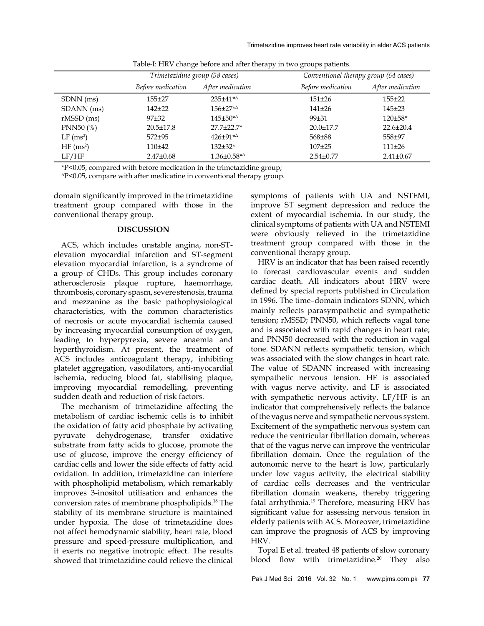|                         | Trimetazidine group (58 cases) |                               |                   | Conventional therapy group (64 cases) |  |
|-------------------------|--------------------------------|-------------------------------|-------------------|---------------------------------------|--|
|                         | Before medication              | After medication              | Before medication | After medication                      |  |
| SDNN (ms)               | $155 + 27$                     | $235 \pm 41 \cdot ^{4\Delta}$ | $151 \pm 26$      | $155 + 22$                            |  |
| SDANN (ms)              | $142+22$                       | $156 \pm 27^{\ast \Delta}$    | $141\pm 26$       | $145+23$                              |  |
| $rMSSD$ (ms)            | $97 + 32$                      | $145 \pm 50^{*4}$             | $99 + 31$         | $120 \pm 58$ *                        |  |
| PNN50 (%)               | $20.5 \pm 17.8$                | 27.7±22.7*                    | $20.0 \pm 17.7$   | $22.6 \pm 20.4$                       |  |
| $LF$ (ms <sup>2</sup> ) | $572 + 95$                     | $426 \pm 91^{\ast \Delta}$    | 568±88            | 558±97                                |  |
| HF(ms <sup>2</sup> )    | $110+42$                       | $132+32*$                     | $107 + 25$        | 111±26                                |  |
| LF/HF                   | $2.47 \pm 0.68$                | $1.36 \pm 0.58^{\ast \Delta}$ | $2.54 \pm 0.77$   | $2.41 \pm 0.67$                       |  |

Table-I: HRV change before and after therapy in two groups patients.

\*P<0.05, compared with before medication in the trimetazidine group;

ΔP<0.05, compare with after medicatine in conventional therapy group.

domain significantly improved in the trimetazidine treatment group compared with those in the conventional therapy group.

#### **DISCUSSION**

ACS, which includes unstable angina, non-STelevation myocardial infarction and ST-segment elevation myocardial infarction, is a syndrome of a group of CHDs. This group includes coronary atherosclerosis plaque rupture, haemorrhage, thrombosis, coronary spasm, severe stenosis, trauma and mezzanine as the basic pathophysiological characteristics, with the common characteristics of necrosis or acute myocardial ischemia caused by increasing myocardial consumption of oxygen, leading to hyperpyrexia, severe anaemia and hyperthyroidism. At present, the treatment of ACS includes anticoagulant therapy, inhibiting platelet aggregation, vasodilators, anti-myocardial ischemia, reducing blood fat, stabilising plaque, improving myocardial remodelling, preventing sudden death and reduction of risk factors.

The mechanism of trimetazidine affecting the metabolism of cardiac ischemic cells is to inhibit the oxidation of fatty acid phosphate by activating pyruvate dehydrogenase, transfer oxidative substrate from fatty acids to glucose, promote the use of glucose, improve the energy efficiency of cardiac cells and lower the side effects of fatty acid oxidation. In addition, trimetazidine can interfere with phospholipid metabolism, which remarkably improves 3-inositol utilisation and enhances the conversion rates of membrane phospholipids.18 The stability of its membrane structure is maintained under hypoxia. The dose of trimetazidine does not affect hemodynamic stability, heart rate, blood pressure and speed-pressure multiplication, and it exerts no negative inotropic effect. The results showed that trimetazidine could relieve the clinical

symptoms of patients with UA and NSTEMI, improve ST segment depression and reduce the extent of myocardial ischemia. In our study, the clinical symptoms of patients with UA and NSTEMI were obviously relieved in the trimetazidine treatment group compared with those in the conventional therapy group.

HRV is an indicator that has been raised recently to forecast cardiovascular events and sudden cardiac death. All indicators about HRV were defined by special reports published in Circulation in 1996. The time–domain indicators SDNN, which mainly reflects parasympathetic and sympathetic tension; rMSSD; PNN50, which reflects vagal tone and is associated with rapid changes in heart rate; and PNN50 decreased with the reduction in vagal tone. SDANN reflects sympathetic tension, which was associated with the slow changes in heart rate. The value of SDANN increased with increasing sympathetic nervous tension. HF is associated with vagus nerve activity, and LF is associated with sympathetic nervous activity. LF/HF is an indicator that comprehensively reflects the balance of the vagus nerve and sympathetic nervous system. Excitement of the sympathetic nervous system can reduce the ventricular fibrillation domain, whereas that of the vagus nerve can improve the ventricular fibrillation domain. Once the regulation of the autonomic nerve to the heart is low, particularly under low vagus activity, the electrical stability of cardiac cells decreases and the ventricular fibrillation domain weakens, thereby triggering fatal arrhythmia.19 Therefore, measuring HRV has significant value for assessing nervous tension in elderly patients with ACS. Moreover, trimetazidine can improve the prognosis of ACS by improving HRV.

Topal E et al. treated 48 patients of slow coronary blood flow with trimetazidine.<sup>20</sup> They also